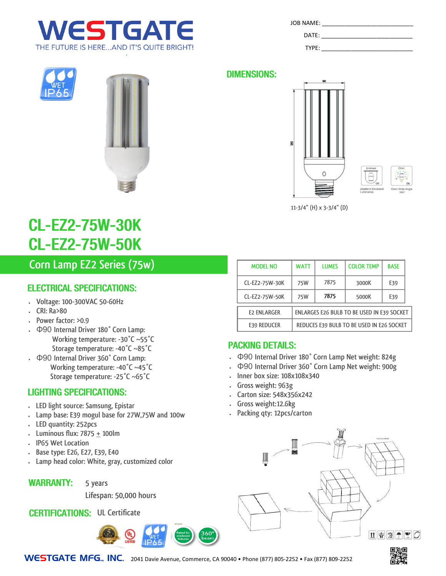



# **CL-EZ2-75W-30K CL-EZ2-75W-50K**

## **Corn Lamp EZ2 Series (75w)**

### **ELECTRICAL SPECIFICATIONS:**

- **Voltage: 100-300VAC 50-60Hz**
- **CRI: Ra>80**
- **Power factor: >0.9**
- Φ90 **Internal Driver 180° Corn Lamp: Working temperature: -30°C ~55°C Storage temperature: -40°C ~85°C**
- Φ90 **Internal Driver 360° Corn Lamp: Working temperature: -40°C ~45°C Storage temperature: -25°C ~65°C**

#### **LIGHTING SPECIFICATIONS:**

- **LED light source: Samsung, Epistar**
- **Lamp base: E39 mogul base for 27W,75W and 100w**
- **LED quantity: 252pcs**
- **Luminous flux: 7875 + 100lm**
- **IP65 Wet Location**
- **Base type: E26, E27, E39, E40**
- **Lamp head color: White, gray, customized color**
- **WARRANTY: 5 years**

**Lifespan: 50,000 hours**

### **CERTIFICATIONS: UL Certificate**



| JOB NAME: |  |  |
|-----------|--|--|
| DATE:     |  |  |

TYPE:







**11-3/4" (H) x 3-3/4" (D)**

| <b>MODEL NO</b>                                                         | WATT | <b>LUMES</b> | <b>COLOR TEMP</b> | <b>BASE</b> |
|-------------------------------------------------------------------------|------|--------------|-------------------|-------------|
| CL-EZ2-75W-30K                                                          | 75W  | 7875         | 3000K             | E39         |
| CL-EZ2-75W-50K                                                          | 75W  | 7875         | 5000K             | E39         |
| <b>ENLARGES E26 BULB TO BE USED IN E39 SOCKET</b><br><b>E2 ENLARGER</b> |      |              |                   |             |
| REDUCES E39 BULB TO BE USED IN E26 SOCKET<br><b>E39 REDUCER</b>         |      |              |                   |             |

### **PACKING DETAILS:**

- Φ90 **Internal Driver 180° Corn Lamp Net weight: 824g**
- Φ90 **Internal Driver 360° Corn Lamp Net weight: 900g**
- **Inner box size: 108x108x340**
- **Gross weight: 963g**
- **Carton size: 548x356x242**
- **Gross weight:12.6kg**
- **Packing qty: 12pcs/carton**